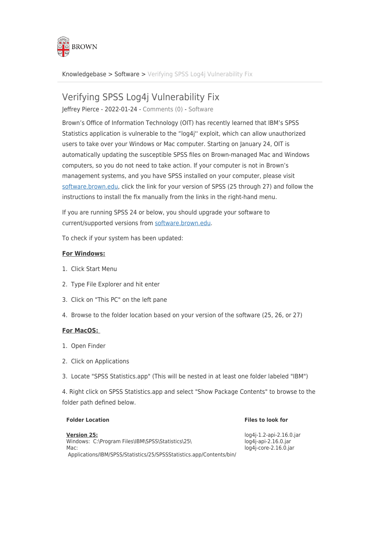

[Knowledgebase](https://ithelp.brown.edu/kb) > [Software](https://ithelp.brown.edu/kb/software) > [Verifying SPSS Log4j Vulnerability Fix](https://ithelp.brown.edu/kb/articles/verifying-spss-log4j-vulnerability-fix)

# Verifying SPSS Log4j Vulnerability Fix

Jeffrey Pierce - 2022-01-24 - [Comments \(0\)](#page--1-0) - [Software](https://ithelp.brown.edu/kb/software)

Brown's Office of Information Technology (OIT) has recently learned that IBM's SPSS Statistics application is vulnerable to the "log4j'' exploit, which can allow unauthorized users to take over your Windows or Mac computer. Starting on January 24, OIT is automatically updating the susceptible SPSS files on Brown-managed Mac and Windows computers, so you do not need to take action. If your computer is not in Brown's management systems, and you have SPSS installed on your computer, please visit [software.brown.edu,](https://software.brown.edu) click the link for your version of SPSS (25 through 27) and follow the instructions to install the fix manually from the links in the right-hand menu.

If you are running SPSS 24 or below, you should upgrade your software to current/supported versions from [software.brown.edu](https://software.brown.edu).

To check if your system has been updated:

## **For Windows:**

- 1. Click Start Menu
- 2. Type File Explorer and hit enter
- 3. Click on "This PC" on the left pane
- 4. Browse to the folder location based on your version of the software (25, 26, or 27)

### **For MacOS:**

- 1. Open Finder
- 2. Click on Applications
- 3. Locate "SPSS Statistics.app" (This will be nested in at least one folder labeled "IBM")

4. Right click on SPSS Statistics.app and select "Show Package Contents" to browse to the folder path defined below.

#### **Folder Location Files to look for**

**Version 25:** Windows: C:\Program Files\IBM\SPSS\Statistics\25\ Mac: Applications/IBM/SPSS/Statistics/25/SPSSStatistics.app/Contents/bin/ log4j-1.2-api-2.16.0.jar log4j-api-2.16.0.jar log4j-core-2.16.0.jar